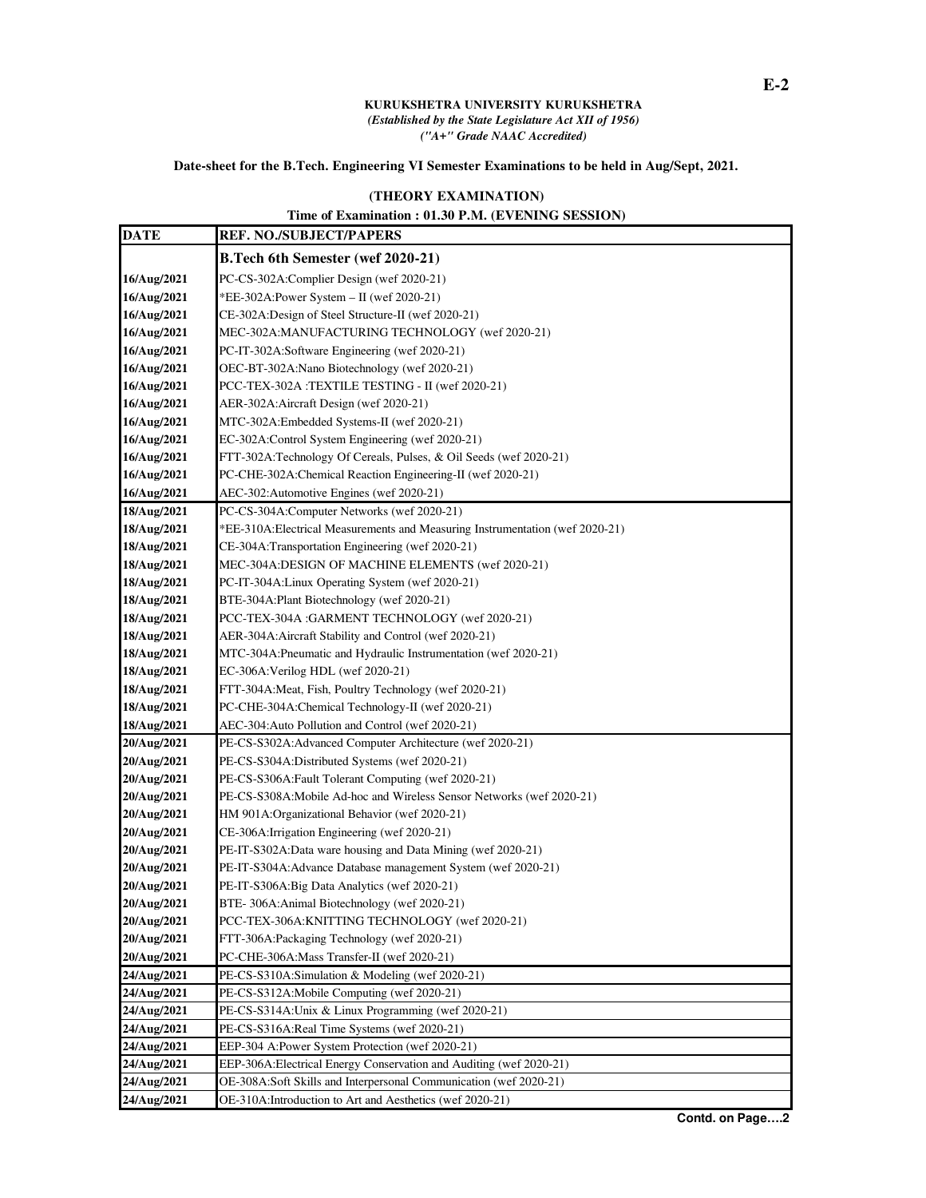## **KURUKSHETRA UNIVERSITY KURUKSHETRA**  *(Established by the State Legislature Act XII of 1956) ("A+" Grade NAAC Accredited)*

## **Date-sheet for the B.Tech. Engineering VI Semester Examinations to be held in Aug/Sept, 2021.**

## **(THEORY EXAMINATION)**

**Time of Examination : 01.30 P.M. (EVENING SESSION)**

| <b>DATE</b>                | <b>REF. NO./SUBJECT/PAPERS</b>                                                                     |
|----------------------------|----------------------------------------------------------------------------------------------------|
|                            | B.Tech 6th Semester (wef 2020-21)                                                                  |
| 16/Aug/2021                | PC-CS-302A:Complier Design (wef 2020-21)                                                           |
| 16/Aug/2021                | *EE-302A: Power System - II (wef 2020-21)                                                          |
| 16/Aug/2021                | CE-302A:Design of Steel Structure-II (wef 2020-21)                                                 |
| 16/Aug/2021                | MEC-302A:MANUFACTURING TECHNOLOGY (wef 2020-21)                                                    |
| 16/Aug/2021                | PC-IT-302A:Software Engineering (wef 2020-21)                                                      |
| 16/Aug/2021                | OEC-BT-302A:Nano Biotechnology (wef 2020-21)                                                       |
| 16/Aug/2021                | PCC-TEX-302A:TEXTILE TESTING - II (wef 2020-21)                                                    |
| 16/Aug/2021                | AER-302A: Aircraft Design (wef 2020-21)                                                            |
| 16/Aug/2021                | MTC-302A:Embedded Systems-II (wef 2020-21)                                                         |
| 16/Aug/2021                | EC-302A:Control System Engineering (wef 2020-21)                                                   |
| 16/Aug/2021                | FTT-302A:Technology Of Cereals, Pulses, & Oil Seeds (wef 2020-21)                                  |
| 16/Aug/2021                | PC-CHE-302A:Chemical Reaction Engineering-II (wef 2020-21)                                         |
| 16/Aug/2021                | AEC-302: Automotive Engines (wef 2020-21)                                                          |
| 18/Aug/2021                | PC-CS-304A:Computer Networks (wef 2020-21)                                                         |
| 18/Aug/2021                | *EE-310A:Electrical Measurements and Measuring Instrumentation (wef 2020-21)                       |
| 18/Aug/2021                | CE-304A:Transportation Engineering (wef 2020-21)                                                   |
| 18/Aug/2021                | MEC-304A:DESIGN OF MACHINE ELEMENTS (wef 2020-21)                                                  |
| 18/Aug/2021                | PC-IT-304A: Linux Operating System (wef 2020-21)                                                   |
| 18/Aug/2021                | BTE-304A:Plant Biotechnology (wef 2020-21)                                                         |
| 18/Aug/2021                | PCC-TEX-304A :GARMENT TECHNOLOGY (wef 2020-21)                                                     |
| 18/Aug/2021                | AER-304A: Aircraft Stability and Control (wef 2020-21)                                             |
| 18/Aug/2021                | MTC-304A: Pneumatic and Hydraulic Instrumentation (wef 2020-21)                                    |
| 18/Aug/2021                | EC-306A: Verilog HDL (wef 2020-21)                                                                 |
| 18/Aug/2021                | FTT-304A:Meat, Fish, Poultry Technology (wef 2020-21)                                              |
| 18/Aug/2021                | PC-CHE-304A:Chemical Technology-II (wef 2020-21)                                                   |
| 18/Aug/2021                | AEC-304: Auto Pollution and Control (wef 2020-21)                                                  |
| 20/Aug/2021                | PE-CS-S302A:Advanced Computer Architecture (wef 2020-21)                                           |
| 20/Aug/2021                | PE-CS-S304A:Distributed Systems (wef 2020-21)                                                      |
| 20/Aug/2021                | PE-CS-S306A: Fault Tolerant Computing (wef 2020-21)                                                |
| 20/Aug/2021                | PE-CS-S308A: Mobile Ad-hoc and Wireless Sensor Networks (wef 2020-21)                              |
| 20/Aug/2021                | HM 901A:Organizational Behavior (wef 2020-21)                                                      |
| 20/Aug/2021                | CE-306A: Irrigation Engineering (wef 2020-21)                                                      |
| 20/Aug/2021                | PE-IT-S302A:Data ware housing and Data Mining (wef 2020-21)                                        |
| 20/Aug/2021                | PE-IT-S304A:Advance Database management System (wef 2020-21)                                       |
| 20/Aug/2021                | PE-IT-S306A:Big Data Analytics (wef 2020-21)                                                       |
| 20/Aug/2021                | BTE-306A: Animal Biotechnology (wef 2020-21)                                                       |
| 20/Aug/2021                | PCC-TEX-306A:KNITTING TECHNOLOGY (wef 2020-21)                                                     |
| 20/Aug/2021                | FTT-306A:Packaging Technology (wef 2020-21)                                                        |
| 20/Aug/2021                | PC-CHE-306A: Mass Transfer-II (wef 2020-21)                                                        |
| 24/Aug/2021                | PE-CS-S310A:Simulation & Modeling (wef 2020-21)                                                    |
| 24/Aug/2021                | PE-CS-S312A:Mobile Computing (wef 2020-21)                                                         |
| 24/Aug/2021                | PE-CS-S314A: Unix & Linux Programming (wef 2020-21)<br>PE-CS-S316A:Real Time Systems (wef 2020-21) |
| 24/Aug/2021<br>24/Aug/2021 | EEP-304 A:Power System Protection (wef 2020-21)                                                    |
| 24/Aug/2021                | EEP-306A: Electrical Energy Conservation and Auditing (wef 2020-21)                                |
| 24/Aug/2021                | OE-308A:Soft Skills and Interpersonal Communication (wef 2020-21)                                  |
| 24/Aug/2021                | OE-310A: Introduction to Art and Aesthetics (wef 2020-21)                                          |
|                            |                                                                                                    |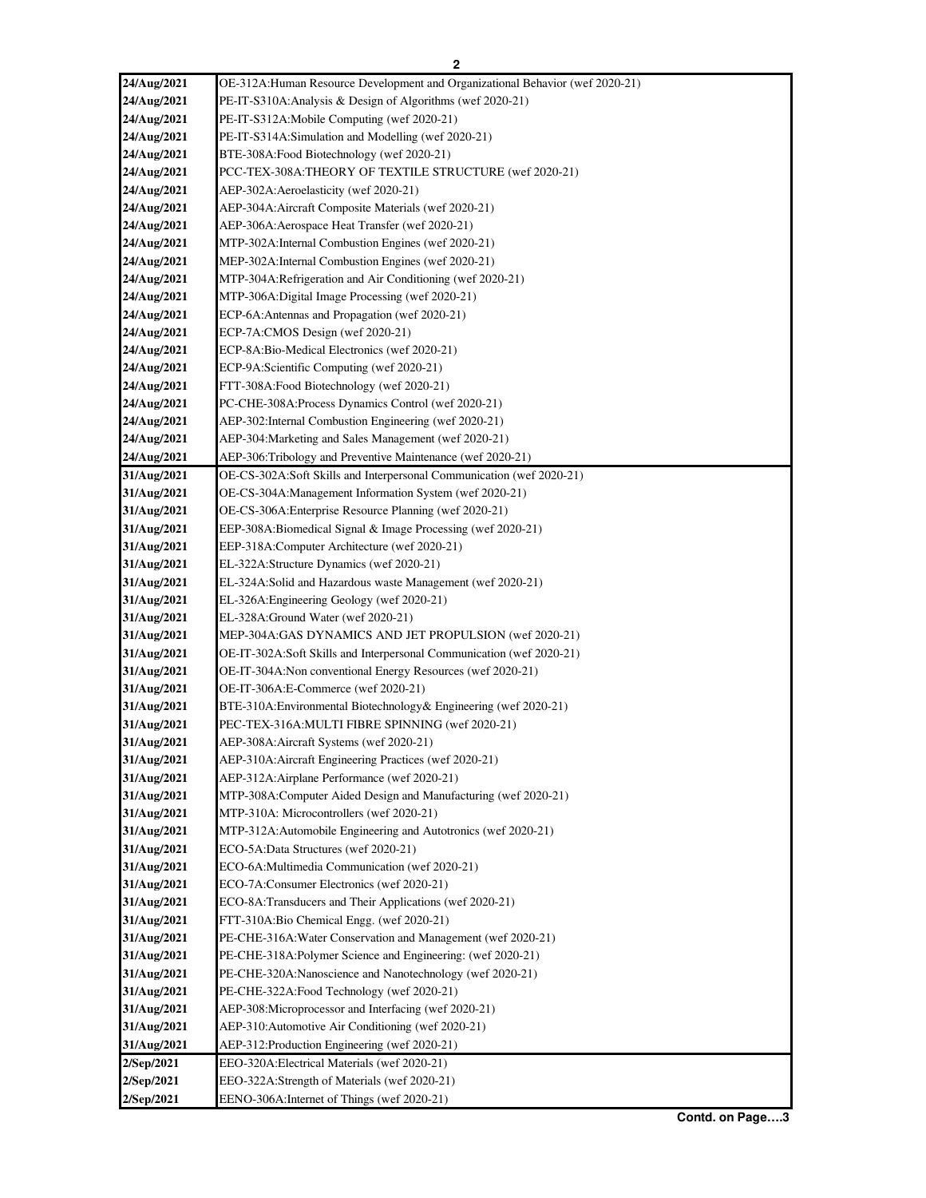## **2**

| 24/Aug/2021 | OE-312A: Human Resource Development and Organizational Behavior (wef 2020-21) |
|-------------|-------------------------------------------------------------------------------|
| 24/Aug/2021 | PE-IT-S310A: Analysis & Design of Algorithms (wef 2020-21)                    |
| 24/Aug/2021 | PE-IT-S312A: Mobile Computing (wef 2020-21)                                   |
| 24/Aug/2021 | PE-IT-S314A:Simulation and Modelling (wef 2020-21)                            |
| 24/Aug/2021 | BTE-308A:Food Biotechnology (wef 2020-21)                                     |
| 24/Aug/2021 | PCC-TEX-308A:THEORY OF TEXTILE STRUCTURE (wef 2020-21)                        |
| 24/Aug/2021 | AEP-302A: Aeroelasticity (wef 2020-21)                                        |
| 24/Aug/2021 | AEP-304A: Aircraft Composite Materials (wef 2020-21)                          |
| 24/Aug/2021 | AEP-306A: Aerospace Heat Transfer (wef 2020-21)                               |
| 24/Aug/2021 | MTP-302A:Internal Combustion Engines (wef 2020-21)                            |
| 24/Aug/2021 | MEP-302A:Internal Combustion Engines (wef 2020-21)                            |
| 24/Aug/2021 | MTP-304A:Refrigeration and Air Conditioning (wef 2020-21)                     |
| 24/Aug/2021 | MTP-306A:Digital Image Processing (wef 2020-21)                               |
| 24/Aug/2021 | ECP-6A:Antennas and Propagation (wef 2020-21)                                 |
| 24/Aug/2021 | ECP-7A:CMOS Design (wef 2020-21)                                              |
| 24/Aug/2021 | ECP-8A:Bio-Medical Electronics (wef 2020-21)                                  |
| 24/Aug/2021 | ECP-9A:Scientific Computing (wef 2020-21)                                     |
|             |                                                                               |
| 24/Aug/2021 | FTT-308A:Food Biotechnology (wef 2020-21)                                     |
| 24/Aug/2021 | PC-CHE-308A:Process Dynamics Control (wef 2020-21)                            |
| 24/Aug/2021 | AEP-302: Internal Combustion Engineering (wef 2020-21)                        |
| 24/Aug/2021 | AEP-304: Marketing and Sales Management (wef 2020-21)                         |
| 24/Aug/2021 | AEP-306:Tribology and Preventive Maintenance (wef 2020-21)                    |
| 31/Aug/2021 | OE-CS-302A:Soft Skills and Interpersonal Communication (wef 2020-21)          |
| 31/Aug/2021 | OE-CS-304A: Management Information System (wef 2020-21)                       |
| 31/Aug/2021 | OE-CS-306A: Enterprise Resource Planning (wef 2020-21)                        |
| 31/Aug/2021 | EEP-308A:Biomedical Signal & Image Processing (wef 2020-21)                   |
| 31/Aug/2021 | EEP-318A:Computer Architecture (wef 2020-21)                                  |
| 31/Aug/2021 | EL-322A:Structure Dynamics (wef 2020-21)                                      |
| 31/Aug/2021 | EL-324A:Solid and Hazardous waste Management (wef 2020-21)                    |
| 31/Aug/2021 | EL-326A:Engineering Geology (wef 2020-21)                                     |
| 31/Aug/2021 | EL-328A:Ground Water (wef 2020-21)                                            |
| 31/Aug/2021 | MEP-304A:GAS DYNAMICS AND JET PROPULSION (wef 2020-21)                        |
| 31/Aug/2021 | OE-IT-302A:Soft Skills and Interpersonal Communication (wef 2020-21)          |
| 31/Aug/2021 | OE-IT-304A:Non conventional Energy Resources (wef 2020-21)                    |
| 31/Aug/2021 | OE-IT-306A:E-Commerce (wef 2020-21)                                           |
| 31/Aug/2021 | BTE-310A: Environmental Biotechnology & Engineering (wef 2020-21)             |
| 31/Aug/2021 | PEC-TEX-316A:MULTI FIBRE SPINNING (wef 2020-21)                               |
| 31/Aug/2021 | AEP-308A: Aircraft Systems (wef 2020-21)                                      |
| 31/Aug/2021 | AEP-310A: Aircraft Engineering Practices (wef 2020-21)                        |
| 31/Aug/2021 | AEP-312A: Airplane Performance (wef 2020-21)                                  |
| 31/Aug/2021 | MTP-308A:Computer Aided Design and Manufacturing (wef 2020-21)                |
| 31/Aug/2021 | MTP-310A: Microcontrollers (wef 2020-21)                                      |
| 31/Aug/2021 | MTP-312A:Automobile Engineering and Autotronics (wef 2020-21)                 |
| 31/Aug/2021 | ECO-5A:Data Structures (wef 2020-21)                                          |
| 31/Aug/2021 | ECO-6A:Multimedia Communication (wef 2020-21)                                 |
| 31/Aug/2021 | ECO-7A:Consumer Electronics (wef 2020-21)                                     |
| 31/Aug/2021 | ECO-8A:Transducers and Their Applications (wef 2020-21)                       |
| 31/Aug/2021 | FTT-310A:Bio Chemical Engg. (wef 2020-21)                                     |
| 31/Aug/2021 | PE-CHE-316A: Water Conservation and Management (wef 2020-21)                  |
| 31/Aug/2021 | PE-CHE-318A: Polymer Science and Engineering: (wef 2020-21)                   |
| 31/Aug/2021 | PE-CHE-320A:Nanoscience and Nanotechnology (wef 2020-21)                      |
| 31/Aug/2021 | PE-CHE-322A: Food Technology (wef 2020-21)                                    |
| 31/Aug/2021 | AEP-308:Microprocessor and Interfacing (wef 2020-21)                          |
| 31/Aug/2021 | AEP-310: Automotive Air Conditioning (wef 2020-21)                            |
| 31/Aug/2021 | AEP-312:Production Engineering (wef 2020-21)                                  |
| 2/Sep/2021  | EEO-320A:Electrical Materials (wef 2020-21)                                   |
| 2/Sep/2021  | EEO-322A:Strength of Materials (wef 2020-21)                                  |
| 2/Sep/2021  | EENO-306A: Internet of Things (wef 2020-21)                                   |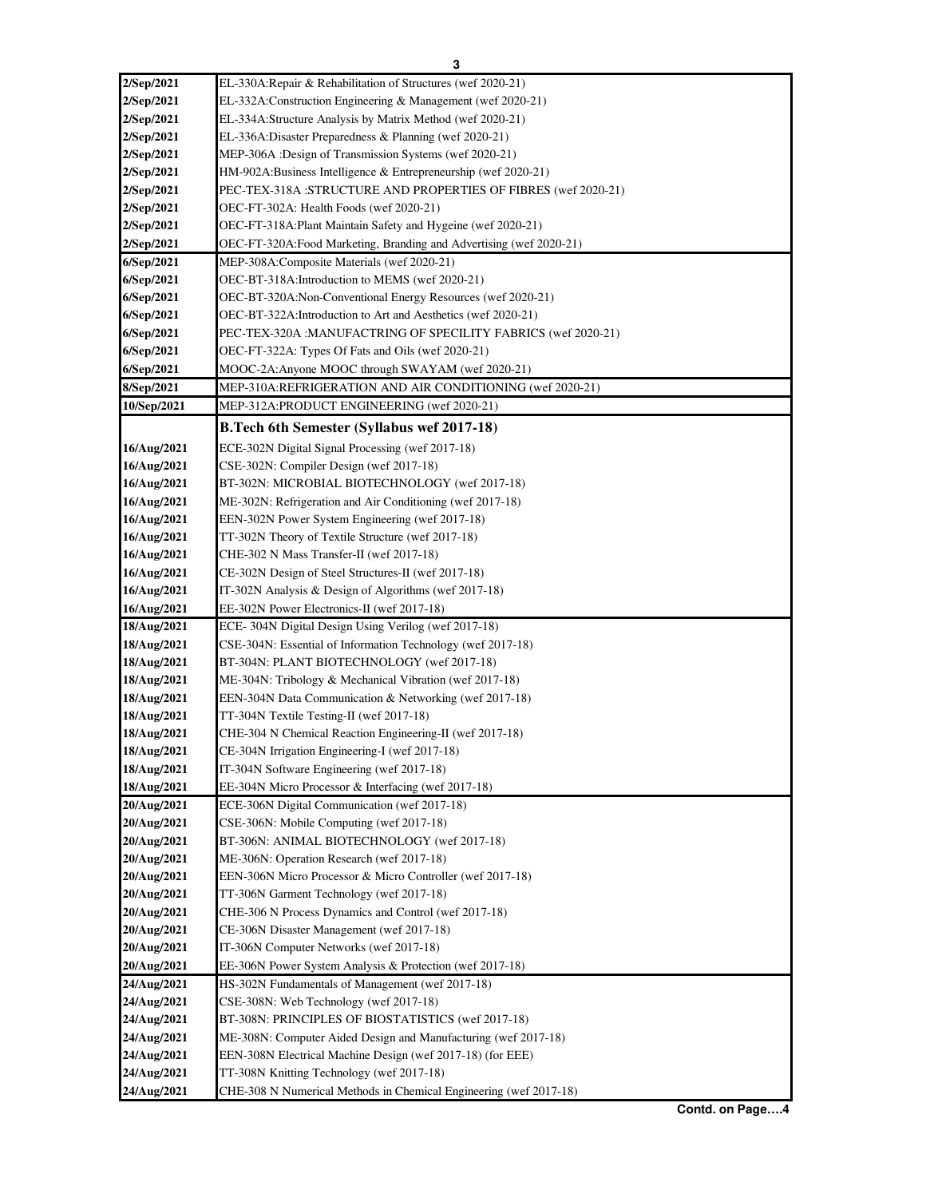| 2/Sep/2021                 | EL-330A:Repair & Rehabilitation of Structures (wef 2020-21)                                           |
|----------------------------|-------------------------------------------------------------------------------------------------------|
| 2/Sep/2021                 | EL-332A:Construction Engineering & Management (wef 2020-21)                                           |
| 2/Sep/2021                 | EL-334A:Structure Analysis by Matrix Method (wef 2020-21)                                             |
| 2/Sep/2021                 | EL-336A:Disaster Preparedness & Planning (wef 2020-21)                                                |
| 2/Sep/2021                 | MEP-306A :Design of Transmission Systems (wef 2020-21)                                                |
| 2/Sep/2021                 | HM-902A:Business Intelligence & Entrepreneurship (wef 2020-21)                                        |
| 2/Sep/2021                 | PEC-TEX-318A:STRUCTURE AND PROPERTIES OF FIBRES (wef 2020-21)                                         |
| 2/Sep/2021                 | OEC-FT-302A: Health Foods (wef 2020-21)                                                               |
| 2/Sep/2021                 | OEC-FT-318A: Plant Maintain Safety and Hygeine (wef 2020-21)                                          |
| 2/Sep/2021                 | OEC-FT-320A: Food Marketing, Branding and Advertising (wef 2020-21)                                   |
| 6/Sep/2021                 | MEP-308A:Composite Materials (wef 2020-21)                                                            |
| 6/Sep/2021                 | OEC-BT-318A: Introduction to MEMS (wef 2020-21)                                                       |
| 6/Sep/2021                 | OEC-BT-320A:Non-Conventional Energy Resources (wef 2020-21)                                           |
| 6/Sep/2021                 | OEC-BT-322A: Introduction to Art and Aesthetics (wef 2020-21)                                         |
| 6/Sep/2021                 | PEC-TEX-320A : MANUFACTRING OF SPECILITY FABRICS (wef 2020-21)                                        |
| 6/Sep/2021                 | OEC-FT-322A: Types Of Fats and Oils (wef 2020-21)                                                     |
| 6/Sep/2021                 | MOOC-2A:Anyone MOOC through SWAYAM (wef 2020-21)                                                      |
| 8/Sep/2021                 | MEP-310A:REFRIGERATION AND AIR CONDITIONING (wef 2020-21)                                             |
| 10/Sep/2021                | MEP-312A:PRODUCT ENGINEERING (wef 2020-21)                                                            |
|                            | <b>B.Tech 6th Semester (Syllabus wef 2017-18)</b>                                                     |
| 16/Aug/2021                | ECE-302N Digital Signal Processing (wef 2017-18)                                                      |
| 16/Aug/2021                | CSE-302N: Compiler Design (wef 2017-18)                                                               |
| 16/Aug/2021                | BT-302N: MICROBIAL BIOTECHNOLOGY (wef 2017-18)                                                        |
| 16/Aug/2021                | ME-302N: Refrigeration and Air Conditioning (wef 2017-18)                                             |
| 16/Aug/2021                | EEN-302N Power System Engineering (wef 2017-18)                                                       |
| 16/Aug/2021                | TT-302N Theory of Textile Structure (wef 2017-18)                                                     |
| 16/Aug/2021                | CHE-302 N Mass Transfer-II (wef 2017-18)                                                              |
| 16/Aug/2021                | CE-302N Design of Steel Structures-II (wef 2017-18)                                                   |
|                            |                                                                                                       |
| 16/Aug/2021                | IT-302N Analysis & Design of Algorithms (wef 2017-18)                                                 |
| 16/Aug/2021                | EE-302N Power Electronics-II (wef 2017-18)                                                            |
| 18/Aug/2021                | ECE-304N Digital Design Using Verilog (wef 2017-18)                                                   |
| 18/Aug/2021                | CSE-304N: Essential of Information Technology (wef 2017-18)                                           |
| 18/Aug/2021<br>18/Aug/2021 | BT-304N: PLANT BIOTECHNOLOGY (wef 2017-18)<br>ME-304N: Tribology & Mechanical Vibration (wef 2017-18) |
| 18/Aug/2021                |                                                                                                       |
|                            | EEN-304N Data Communication & Networking (wef 2017-18)                                                |
| 18/Aug/2021                | TT-304N Textile Testing-II (wef 2017-18)                                                              |
| 18/Aug/2021                | CHE-304 N Chemical Reaction Engineering-II (wef 2017-18)                                              |
| 18/Aug/2021                | CE-304N Irrigation Engineering-I (wef 2017-18)                                                        |
| 18/Aug/2021                | IT-304N Software Engineering (wef 2017-18)<br>EE-304N Micro Processor & Interfacing (wef 2017-18)     |
| 18/Aug/2021<br>20/Aug/2021 | ECE-306N Digital Communication (wef 2017-18)                                                          |
| 20/Aug/2021                | CSE-306N: Mobile Computing (wef 2017-18)                                                              |
| 20/Aug/2021                | BT-306N: ANIMAL BIOTECHNOLOGY (wef 2017-18)                                                           |
| 20/Aug/2021                | ME-306N: Operation Research (wef 2017-18)                                                             |
| 20/Aug/2021                | EEN-306N Micro Processor & Micro Controller (wef 2017-18)                                             |
| 20/Aug/2021                | TT-306N Garment Technology (wef 2017-18)                                                              |
| 20/Aug/2021                | CHE-306 N Process Dynamics and Control (wef 2017-18)                                                  |
| 20/Aug/2021                | CE-306N Disaster Management (wef 2017-18)                                                             |
| 20/Aug/2021                | IT-306N Computer Networks (wef 2017-18)                                                               |
| 20/Aug/2021                | EE-306N Power System Analysis & Protection (wef 2017-18)                                              |
| 24/Aug/2021                | HS-302N Fundamentals of Management (wef 2017-18)                                                      |
| 24/Aug/2021                | CSE-308N: Web Technology (wef 2017-18)                                                                |
| 24/Aug/2021                | BT-308N: PRINCIPLES OF BIOSTATISTICS (wef 2017-18)                                                    |
| 24/Aug/2021                | ME-308N: Computer Aided Design and Manufacturing (wef 2017-18)                                        |
| 24/Aug/2021                | EEN-308N Electrical Machine Design (wef 2017-18) (for EEE)                                            |
| 24/Aug/2021                | TT-308N Knitting Technology (wef 2017-18)                                                             |
|                            |                                                                                                       |
| 24/Aug/2021                | CHE-308 N Numerical Methods in Chemical Engineering (wef 2017-18)                                     |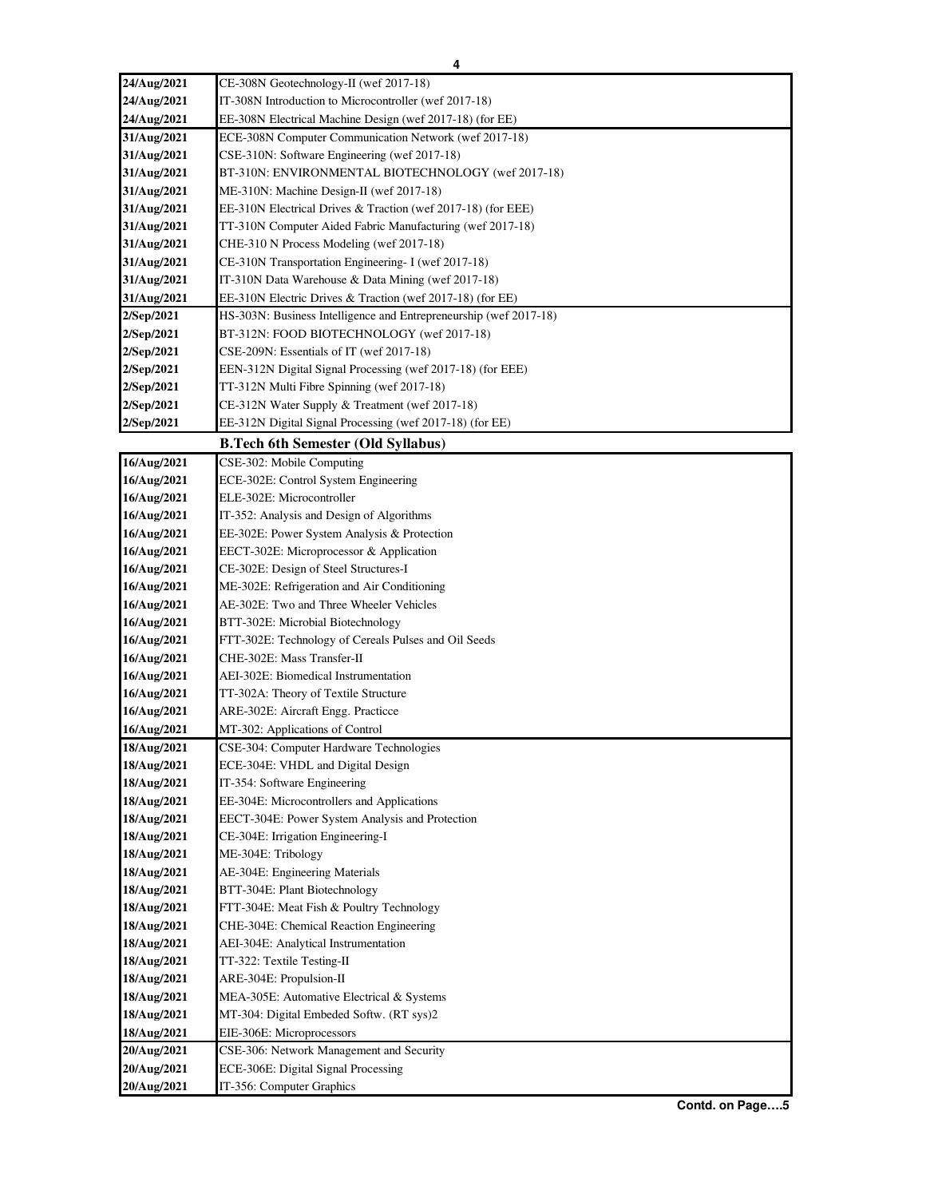| 24/Aug/2021                | CE-308N Geotechnology-II (wef 2017-18)                                             |
|----------------------------|------------------------------------------------------------------------------------|
| 24/Aug/2021                | IT-308N Introduction to Microcontroller (wef 2017-18)                              |
| 24/Aug/2021                | EE-308N Electrical Machine Design (wef 2017-18) (for EE)                           |
| 31/Aug/2021                | ECE-308N Computer Communication Network (wef 2017-18)                              |
| 31/Aug/2021                | CSE-310N: Software Engineering (wef 2017-18)                                       |
| 31/Aug/2021                | BT-310N: ENVIRONMENTAL BIOTECHNOLOGY (wef 2017-18)                                 |
| 31/Aug/2021                | ME-310N: Machine Design-II (wef 2017-18)                                           |
| 31/Aug/2021                | EE-310N Electrical Drives & Traction (wef 2017-18) (for EEE)                       |
| 31/Aug/2021                | TT-310N Computer Aided Fabric Manufacturing (wef 2017-18)                          |
| 31/Aug/2021                | CHE-310 N Process Modeling (wef 2017-18)                                           |
| 31/Aug/2021                | CE-310N Transportation Engineering- I (wef 2017-18)                                |
| 31/Aug/2021                | IT-310N Data Warehouse & Data Mining (wef 2017-18)                                 |
| 31/Aug/2021                | EE-310N Electric Drives & Traction (wef 2017-18) (for EE)                          |
| 2/Sep/2021                 | HS-303N: Business Intelligence and Entrepreneurship (wef 2017-18)                  |
| 2/Sep/2021                 | BT-312N: FOOD BIOTECHNOLOGY (wef 2017-18)                                          |
| 2/Sep/2021                 | CSE-209N: Essentials of IT (wef 2017-18)                                           |
| 2/Sep/2021                 | EEN-312N Digital Signal Processing (wef 2017-18) (for EEE)                         |
| 2/Sep/2021                 | TT-312N Multi Fibre Spinning (wef 2017-18)                                         |
| 2/Sep/2021                 | CE-312N Water Supply & Treatment (wef 2017-18)                                     |
| 2/Sep/2021                 | EE-312N Digital Signal Processing (wef 2017-18) (for EE)                           |
|                            | <b>B.Tech 6th Semester (Old Syllabus)</b>                                          |
| 16/Aug/2021                | CSE-302: Mobile Computing                                                          |
| 16/Aug/2021                | ECE-302E: Control System Engineering                                               |
| 16/Aug/2021                | ELE-302E: Microcontroller                                                          |
| 16/Aug/2021                | IT-352: Analysis and Design of Algorithms                                          |
| 16/Aug/2021                | EE-302E: Power System Analysis & Protection                                        |
| 16/Aug/2021                | EECT-302E: Microprocessor & Application                                            |
| 16/Aug/2021                | CE-302E: Design of Steel Structures-I                                              |
| 16/Aug/2021                | ME-302E: Refrigeration and Air Conditioning                                        |
| 16/Aug/2021                | AE-302E: Two and Three Wheeler Vehicles                                            |
| 16/Aug/2021                | BTT-302E: Microbial Biotechnology                                                  |
| 16/Aug/2021<br>16/Aug/2021 | FTT-302E: Technology of Cereals Pulses and Oil Seeds<br>CHE-302E: Mass Transfer-II |
| 16/Aug/2021                | AEI-302E: Biomedical Instrumentation                                               |
| 16/Aug/2021                | TT-302A: Theory of Textile Structure                                               |
| 16/Aug/2021                | ARE-302E: Aircraft Engg. Practicce                                                 |
| 16/Aug/2021                | MT-302: Applications of Control                                                    |
| 18/Aug/2021                | CSE-304: Computer Hardware Technologies                                            |
| 18/Aug/2021                | ECE-304E: VHDL and Digital Design                                                  |
| 18/Aug/2021                | IT-354: Software Engineering                                                       |
| 18/Aug/2021                | EE-304E: Microcontrollers and Applications                                         |
| 18/Aug/2021                | EECT-304E: Power System Analysis and Protection                                    |
| 18/Aug/2021                | CE-304E: Irrigation Engineering-I                                                  |
| 18/Aug/2021                | ME-304E: Tribology                                                                 |
| 18/Aug/2021                | AE-304E: Engineering Materials                                                     |
| 18/Aug/2021                | BTT-304E: Plant Biotechnology                                                      |
| 18/Aug/2021                | FTT-304E: Meat Fish & Poultry Technology                                           |
| 18/Aug/2021                | CHE-304E: Chemical Reaction Engineering                                            |
| 18/Aug/2021                | AEI-304E: Analytical Instrumentation                                               |
| 18/Aug/2021                | TT-322: Textile Testing-II                                                         |
| 18/Aug/2021                | ARE-304E: Propulsion-II                                                            |
| 18/Aug/2021                | MEA-305E: Automative Electrical & Systems                                          |
| 18/Aug/2021                | MT-304: Digital Embeded Softw. (RT sys)2                                           |
| 18/Aug/2021                | EIE-306E: Microprocessors                                                          |
| 20/Aug/2021                | CSE-306: Network Management and Security                                           |
| 20/Aug/2021                | ECE-306E: Digital Signal Processing                                                |
| 20/Aug/2021                | IT-356: Computer Graphics                                                          |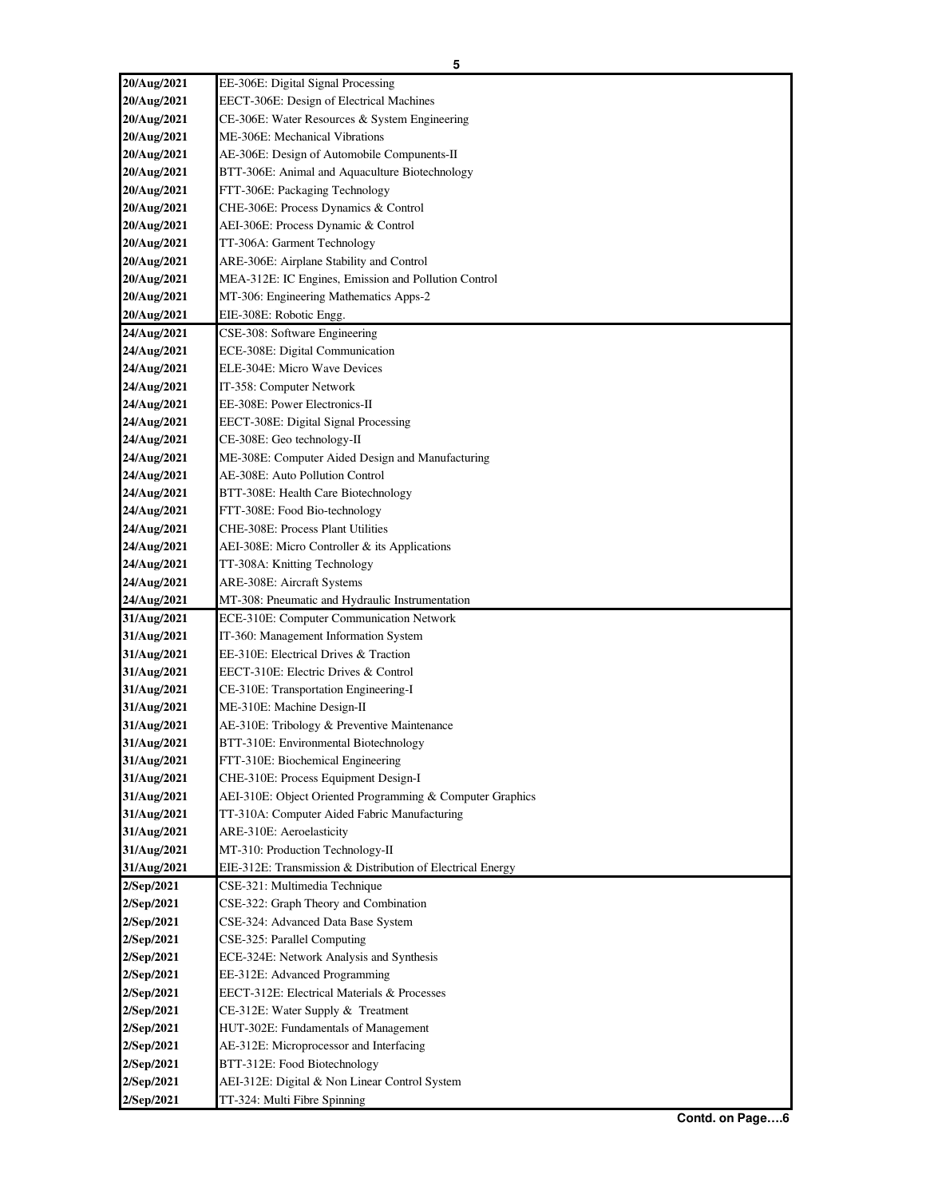| 20/Aug/2021              | EE-306E: Digital Signal Processing                                          |
|--------------------------|-----------------------------------------------------------------------------|
| 20/Aug/2021              | EECT-306E: Design of Electrical Machines                                    |
| 20/Aug/2021              | CE-306E: Water Resources & System Engineering                               |
| 20/Aug/2021              | ME-306E: Mechanical Vibrations                                              |
| 20/Aug/2021              | AE-306E: Design of Automobile Compunents-II                                 |
| 20/Aug/2021              | BTT-306E: Animal and Aquaculture Biotechnology                              |
| 20/Aug/2021              | FTT-306E: Packaging Technology                                              |
| 20/Aug/2021              | CHE-306E: Process Dynamics & Control                                        |
| 20/Aug/2021              | AEI-306E: Process Dynamic & Control                                         |
| 20/Aug/2021              | TT-306A: Garment Technology                                                 |
| 20/Aug/2021              | ARE-306E: Airplane Stability and Control                                    |
| 20/Aug/2021              | MEA-312E: IC Engines, Emission and Pollution Control                        |
| 20/Aug/2021              | MT-306: Engineering Mathematics Apps-2                                      |
| 20/Aug/2021              | EIE-308E: Robotic Engg.                                                     |
| 24/Aug/2021              | CSE-308: Software Engineering                                               |
| 24/Aug/2021              | ECE-308E: Digital Communication                                             |
| 24/Aug/2021              | ELE-304E: Micro Wave Devices                                                |
| 24/Aug/2021              | IT-358: Computer Network                                                    |
| 24/Aug/2021              | EE-308E: Power Electronics-II                                               |
| 24/Aug/2021              | EECT-308E: Digital Signal Processing                                        |
| 24/Aug/2021              | CE-308E: Geo technology-II                                                  |
| 24/Aug/2021              | ME-308E: Computer Aided Design and Manufacturing                            |
| 24/Aug/2021              | AE-308E: Auto Pollution Control                                             |
| 24/Aug/2021              | BTT-308E: Health Care Biotechnology                                         |
| 24/Aug/2021              | FTT-308E: Food Bio-technology                                               |
| 24/Aug/2021              | CHE-308E: Process Plant Utilities                                           |
| 24/Aug/2021              | AEI-308E: Micro Controller & its Applications                               |
| 24/Aug/2021              | TT-308A: Knitting Technology                                                |
| 24/Aug/2021              | ARE-308E: Aircraft Systems                                                  |
|                          |                                                                             |
| 24/Aug/2021              | MT-308: Pneumatic and Hydraulic Instrumentation                             |
| 31/Aug/2021              | ECE-310E: Computer Communication Network                                    |
| 31/Aug/2021              | IT-360: Management Information System                                       |
| 31/Aug/2021              | EE-310E: Electrical Drives & Traction                                       |
| 31/Aug/2021              | EECT-310E: Electric Drives & Control                                        |
| 31/Aug/2021              | CE-310E: Transportation Engineering-I                                       |
| 31/Aug/2021              | ME-310E: Machine Design-II                                                  |
| 31/Aug/2021              | AE-310E: Tribology & Preventive Maintenance                                 |
| 31/Aug/2021              | BTT-310E: Environmental Biotechnology                                       |
| 31/Aug/2021              | FTT-310E: Biochemical Engineering                                           |
| 31/Aug/2021              | CHE-310E: Process Equipment Design-I                                        |
| 31/Aug/2021              | AEI-310E: Object Oriented Programming & Computer Graphics                   |
| 31/Aug/2021              | TT-310A: Computer Aided Fabric Manufacturing                                |
| 31/Aug/2021              | ARE-310E: Aeroelasticity                                                    |
| 31/Aug/2021              | MT-310: Production Technology-II                                            |
| 31/Aug/2021              | EIE-312E: Transmission & Distribution of Electrical Energy                  |
| 2/Sep/2021               | CSE-321: Multimedia Technique                                               |
| 2/Sep/2021<br>2/Sep/2021 | CSE-322: Graph Theory and Combination<br>CSE-324: Advanced Data Base System |
| 2/Sep/2021               | CSE-325: Parallel Computing                                                 |
| 2/Sep/2021               | ECE-324E: Network Analysis and Synthesis                                    |
| 2/Sep/2021               | EE-312E: Advanced Programming                                               |
| 2/Sep/2021               | EECT-312E: Electrical Materials & Processes                                 |
| 2/Sep/2021               | CE-312E: Water Supply & Treatment                                           |
| 2/Sep/2021               | HUT-302E: Fundamentals of Management                                        |
| 2/Sep/2021               | AE-312E: Microprocessor and Interfacing                                     |
| 2/Sep/2021               | BTT-312E: Food Biotechnology                                                |
| 2/Sep/2021               | AEI-312E: Digital & Non Linear Control System                               |